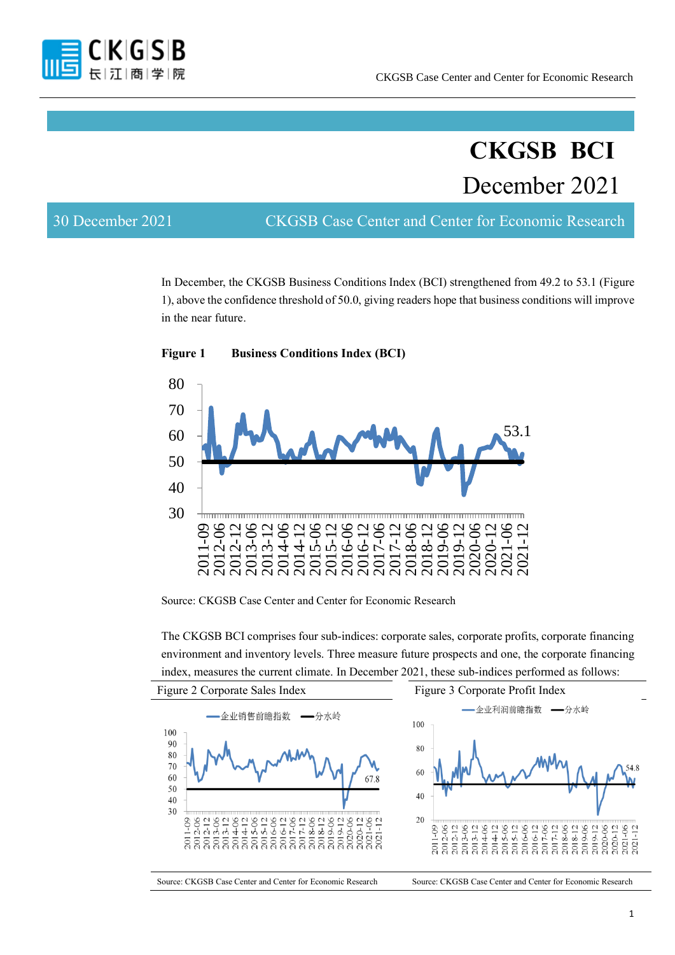

# **CKGSB BCI** December 2021

30 December 2021 CKGSB Case Center and Center for Economic Research

In December, the CKGSB Business Conditions Index (BCI) strengthened from 49.2 to 53.1 (Figure 1), above the confidence threshold of 50.0, giving readers hope that business conditions will improve in the near future.



**Figure 1 Business Conditions Index (BCI)**

Source: CKGSB Case Center and Center for Economic Research

The CKGSB BCI comprises four sub-indices: corporate sales, corporate profits, corporate financing environment and inventory levels. Three measure future prospects and one, the corporate financing index, measures the current climate. In December 2021, these sub-indices performed as follows:

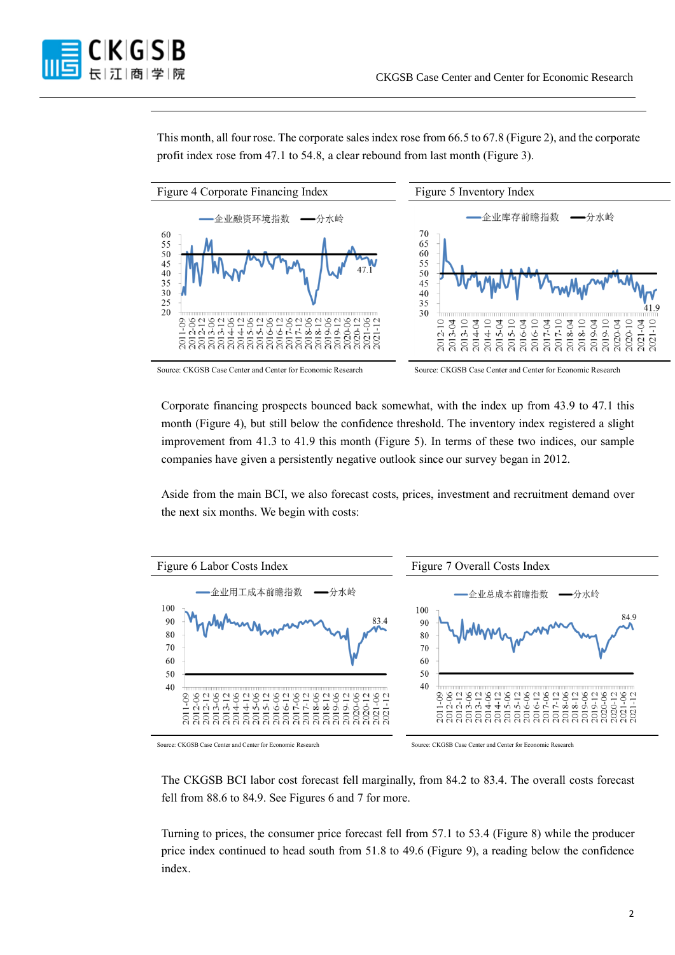

This month, all four rose. The corporate sales index rose from 66.5 to 67.8 (Figure 2), and the corporate profit index rose from 47.1 to 54.8, a clear rebound from last month (Figure 3).



Source: CKGSB Case Center and Center for Economic Research Source: CKGSB Case Center and Center for Economic Research

Corporate financing prospects bounced back somewhat, with the index up from 43.9 to 47.1 this month (Figure 4), but still below the confidence threshold. The inventory index registered a slight improvement from 41.3 to 41.9 this month (Figure 5). In terms of these two indices, our sample companies have given a persistently negative outlook since our survey began in 2012.

Aside from the main BCI, we also forecast costs, prices, investment and recruitment demand over the next six months. We begin with costs:



Source: CKGSB Case Center and Center for Economic Research Source: CKGSB Case Center and Center for Economic Research

The CKGSB BCI labor cost forecast fell marginally, from 84.2 to 83.4. The overall costs forecast fell from 88.6 to 84.9. See Figures 6 and 7 for more.

Turning to prices, the consumer price forecast fell from 57.1 to 53.4 (Figure 8) while the producer price index continued to head south from 51.8 to 49.6 (Figure 9), a reading below the confidence index.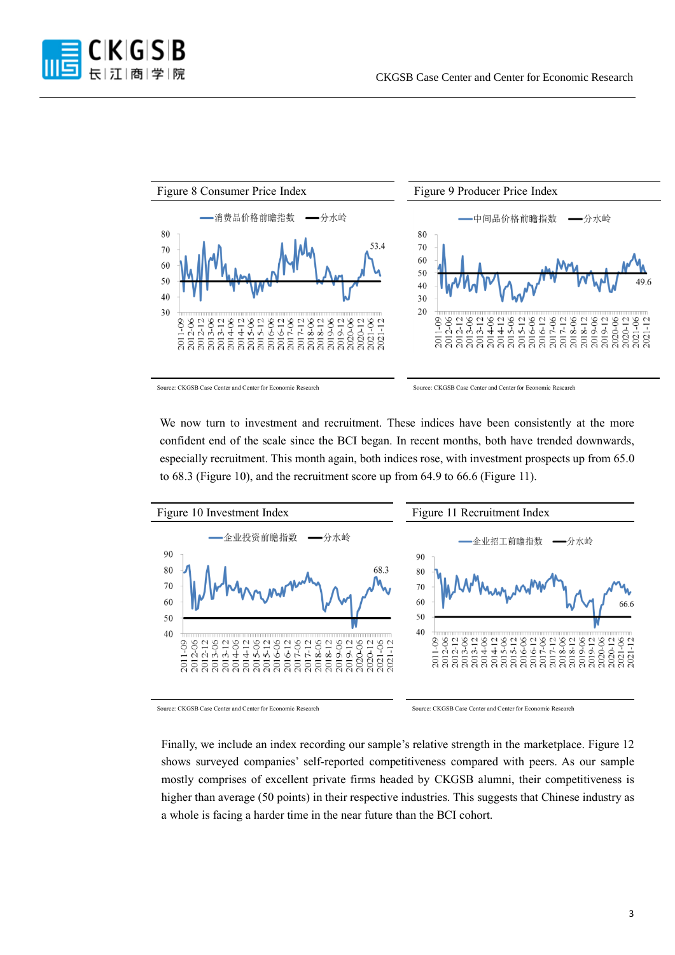



We now turn to investment and recruitment. These indices have been consistently at the more confident end of the scale since the BCI began. In recent months, both have trended downwards, especially recruitment. This month again, both indices rose, with investment prospects up from 65.0 to 68.3 (Figure 10), and the recruitment score up from 64.9 to 66.6 (Figure 11).



Source: CKGSB Case Center and Center for Economic Research Source: CKGSB Case Center and Center for Economic Research

Finally, we include an index recording our sample's relative strength in the marketplace. Figure 12 shows surveyed companies' self-reported competitiveness compared with peers. As our sample mostly comprises of excellent private firms headed by CKGSB alumni, their competitiveness is higher than average (50 points) in their respective industries. This suggests that Chinese industry as a whole is facing a harder time in the near future than the BCI cohort.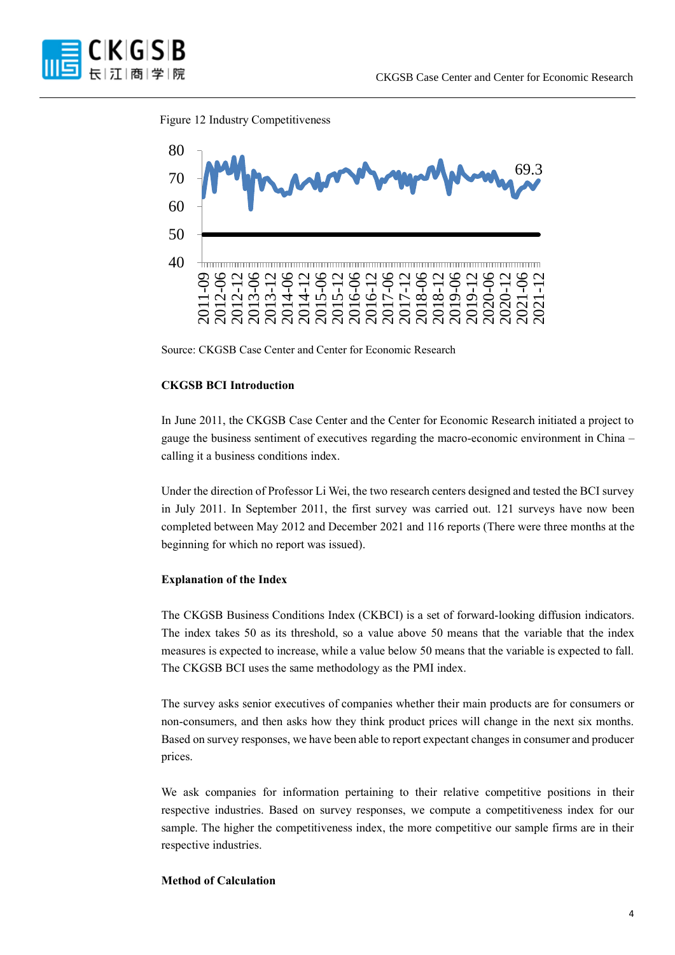

Figure 12 Industry Competitiveness



Source: CKGSB Case Center and Center for Economic Research

#### **CKGSB BCI Introduction**

In June 2011, the CKGSB Case Center and the Center for Economic Research initiated a project to gauge the business sentiment of executives regarding the macro-economic environment in China – calling it a business conditions index.

Under the direction of Professor Li Wei, the two research centers designed and tested the BCI survey in July 2011. In September 2011, the first survey was carried out. 121 surveys have now been completed between May 2012 and December 2021 and 116 reports (There were three months at the beginning for which no report was issued).

#### **Explanation of the Index**

The CKGSB Business Conditions Index (CKBCI) is a set of forward-looking diffusion indicators. The index takes 50 as its threshold, so a value above 50 means that the variable that the index measures is expected to increase, while a value below 50 means that the variable is expected to fall. The CKGSB BCI uses the same methodology as the PMI index.

The survey asks senior executives of companies whether their main products are for consumers or non-consumers, and then asks how they think product prices will change in the next six months. Based on survey responses, we have been able to report expectant changes in consumer and producer prices.

We ask companies for information pertaining to their relative competitive positions in their respective industries. Based on survey responses, we compute a competitiveness index for our sample. The higher the competitiveness index, the more competitive our sample firms are in their respective industries.

#### **Method of Calculation**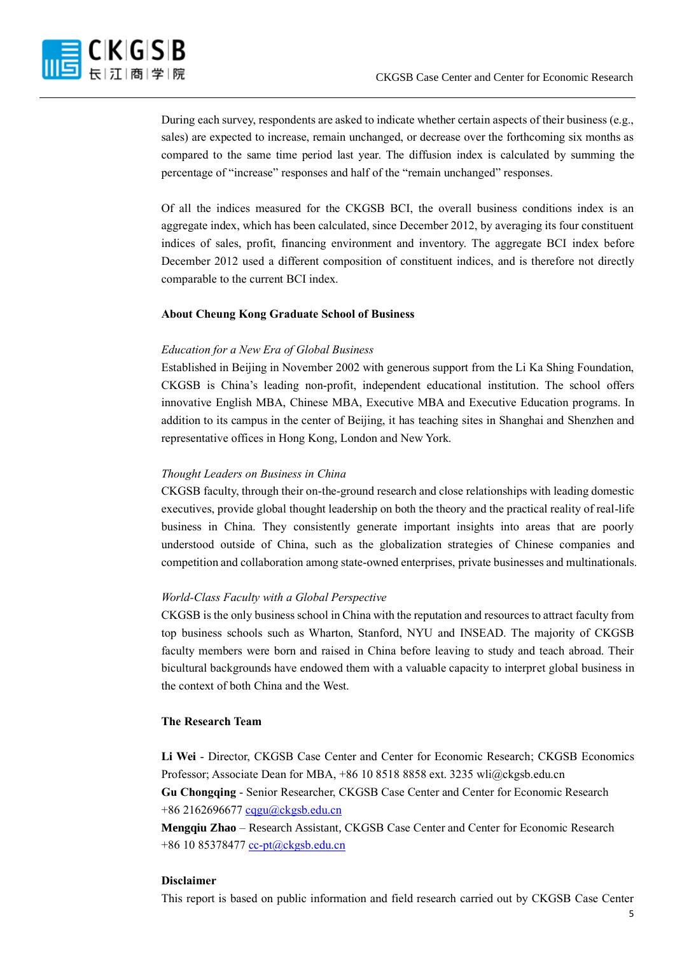

During each survey, respondents are asked to indicate whether certain aspects of their business (e.g., sales) are expected to increase, remain unchanged, or decrease over the forthcoming six months as compared to the same time period last year. The diffusion index is calculated by summing the percentage of "increase" responses and half of the "remain unchanged" responses.

Of all the indices measured for the CKGSB BCI, the overall business conditions index is an aggregate index, which has been calculated, since December 2012, by averaging its four constituent indices of sales, profit, financing environment and inventory. The aggregate BCI index before December 2012 used a different composition of constituent indices, and is therefore not directly comparable to the current BCI index.

# **About Cheung Kong Graduate School of Business**

# *Education for a New Era of Global Business*

Established in Beijing in November 2002 with generous support from the Li Ka Shing Foundation, CKGSB is China's leading non-profit, independent educational institution. The school offers innovative English MBA, Chinese MBA, Executive MBA and Executive Education programs. In addition to its campus in the center of Beijing, it has teaching sites in Shanghai and Shenzhen and representative offices in Hong Kong, London and New York.

# *Thought Leaders on Business in China*

CKGSB faculty, through their on-the-ground research and close relationships with leading domestic executives, provide global thought leadership on both the theory and the practical reality of real-life business in China. They consistently generate important insights into areas that are poorly understood outside of China, such as the globalization strategies of Chinese companies and competition and collaboration among state-owned enterprises, private businesses and multinationals.

# *World-Class Faculty with a Global Perspective*

CKGSB is the only business school in China with the reputation and resources to attract faculty from top business schools such as Wharton, Stanford, NYU and INSEAD. The majority of CKGSB faculty members were born and raised in China before leaving to study and teach abroad. Their bicultural backgrounds have endowed them with a valuable capacity to interpret global business in the context of both China and the West.

#### **The Research Team**

**Li Wei** - Director, CKGSB Case Center and Center for Economic Research; CKGSB Economics Professor; Associate Dean for MBA, +86 10 8518 8858 ext. 3235 wli@ckgsb.edu.cn **Gu Chongqing** - Senior Researcher, CKGSB Case Center and Center for Economic Research +86 216269667[7 cqgu@ckgsb.edu.cn](mailto:cqgu@ckgsb.edu.cn)

**Mengqiu Zhao** – Research Assistant, CKGSB Case Center and Center for Economic Research +86 10 85378477 [cc-pt@ckgsb.edu.cn](mailto:cc-pt@ckgsb.edu.cn)

#### **Disclaimer**

This report is based on public information and field research carried out by CKGSB Case Center